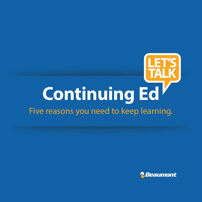# **Continuing Ed**

# Five reasons you need to keep learning.

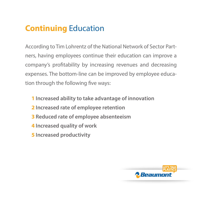# **Continuing** Education

According to Tim Lohrentz of the National Network of Sector Partners, having employees continue their education can improve a company's profitability by increasing revenues and decreasing expenses. The bottom-line can be improved by employee education through the following five ways:

- **1 Increased ability to take advantage of innovation**
- **2 Increased rate of employee retention**
- **3 Reduced rate of employee absenteeism**
- **4 Increased quality of work**
- **5 Increased productivity**

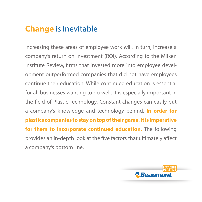## **Change** is Inevitable

Increasing these areas of employee work will, in turn, increase a company's return on investment (ROI). According to the Milken Institute Review, firms that invested more into employee development outperformed companies that did not have employees continue their education. While continued education is essential for all businesses wanting to do well, it is especially important in the field of Plastic Technology. Constant changes can easily put a company's knowledge and technology behind. **In order for plastics companies to stay on top of their game, it is imperative for them to incorporate continued education.** The following provides an in-depth look at the five factors that ultimately affect a company's bottom line.

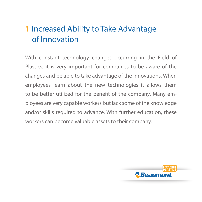# **1** Increased Ability to Take Advantage of Innovation

With constant technology changes occurring in the Field of Plastics, it is very important for companies to be aware of the changes and be able to take advantage of the innovations. When employees learn about the new technologies it allows them to be better utilized for the benefit of the company. Many employees are very capable workers but lack some of the knowledge and/or skills required to advance. With further education, these workers can become valuable assets to their company.

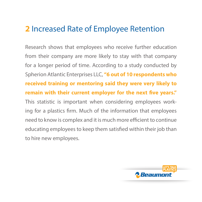### **2** Increased Rate of Employee Retention

Research shows that employees who receive further education from their company are more likely to stay with that company for a longer period of time. According to a study conducted by Spherion Atlantic Enterprises LLC, **"6 out of 10 respondents who received training or mentoring said they were very likely to remain with their current employer for the next five years."** This statistic is important when considering employees working for a plastics firm. Much of the information that employees need to know is complex and it is much more efficient to continue educating employees to keep them satisfied within their job than to hire new employees.

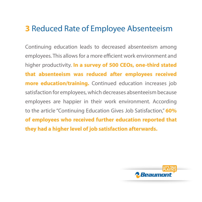### **3** Reduced Rate of Employee Absenteeism

Continuing education leads to decreased absenteeism among employees. This allows for a more efficient work environment and higher productivity. **In a survey of 500 CEOs, one-third stated that absenteeism was reduced after employees received more education/training.** Continued education increases job satisfaction for employees, which decreases absenteeism because employees are happier in their work environment. According to the article "Continuing Education Gives Job Satisfaction," **60% of employees who received further education reported that they had a higher level of job satisfaction afterwards.**

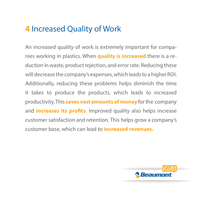## **4** Increased Quality of Work

An increased quality of work is extremely important for companies working in plastics. When **quality is increased** there is a reduction in waste, product rejection, and error rate. Reducing these will decrease the company's expenses, which leads to a higher ROI. Additionally, reducing these problems helps diminish the time it takes to produce the products, which leads to increased productivity. This **saves vast amounts of money** for the company and **increases its profits.** Improved quality also helps increase customer satisfaction and retention. This helps grow a company's customer base, which can lead to **increased revenues.** 

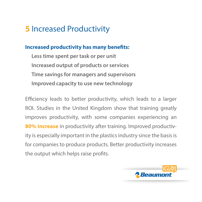## **5** Increased Productivity

### **Increased productivity has many benefits:**

**Less time spent per task or per unit Increased output of products or services Time savings for managers and supervisors Improved capacity to use new technology** 

Efficiency leads to better productivity, which leads to a larger ROI. Studies in the United Kingdom show that training greatly improves productivity, with some companies experiencing an **80% increase** in productivity after training. Improved productivity is especially important in the plastics industry since the basis is for companies to produce products. Better productivity increases the output which helps raise profits.

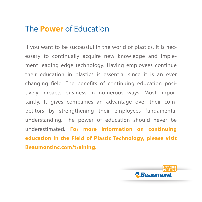### The **Power** of Education

If you want to be successful in the world of plastics, it is necessary to continually acquire new knowledge and implement leading edge technology. Having employees continue their education in plastics is essential since it is an ever changing field. The benefits of continuing education positively impacts business in numerous ways. Most importantly, It gives companies an advantage over their competitors by strengthening their employees fundamental understanding. The power of education should never be underestimated. **For more information on continuing education in the Field of Plastic Technology, please visit Beaumontinc.com/training.**

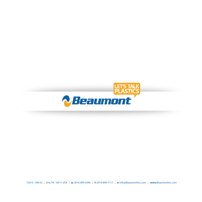

1524 E. 10th St. **|** Erie, PA 16511 USA **| p:** (814) 899-6390 **| f:** (814) 899-7117 **| e:** info@Beaumontinc.com **| www.**Beaumontinc.com